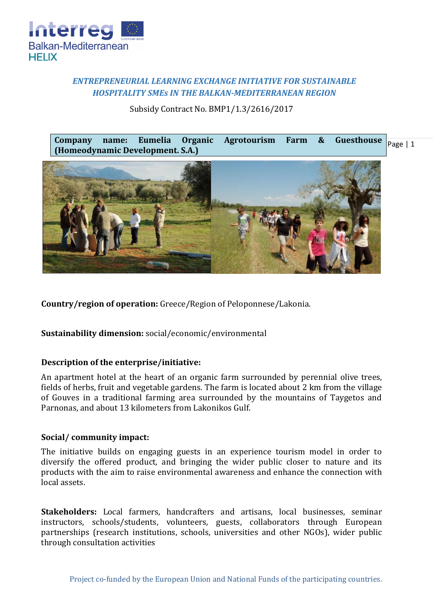

# *ENTREPRENEURIAL LEARNING EXCHANGE INITIATIVE FOR SUSTAINABLE HOSPITALITY SMEs IN THE BALKAN-MEDITERRANEAN REGION*

Subsidy Contract No. BMP1/1.3/2616/2017

 $Page \mid 1$ **Company name: Eumelia Organic Agrotourism Farm & Guesthouse (Homeodynamic Development. S.A.)**



**Country/region of operation:** Greece/Region of Peloponnese/Lakonia.

**Sustainability dimension:** social/economic/environmental

### **Description of the enterprise/initiative:**

An apartment hotel at the heart of an organic farm surrounded by perennial olive trees, fields of herbs, fruit and vegetable gardens. The farm is located about 2 km from the village of Gouves in a traditional farming area surrounded by the mountains of Taygetos and Parnonas, and about 13 kilometers from Lakonikos Gulf.

### **Social/ community impact:**

The initiative builds on engaging guests in an experience tourism model in order to diversify the offered product, and bringing the wider public closer to nature and its products with the aim to raise environmental awareness and enhance the connection with local assets.

**Stakeholders:** Local farmers, handcrafters and artisans, local businesses, seminar instructors, schools/students, volunteers, guests, collaborators through European partnerships (research institutions, schools, universities and other NGOs), wider public through consultation activities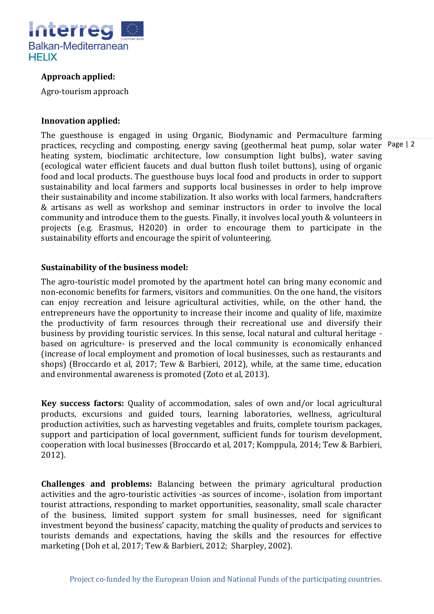

## **Approach applied:**

Agro-tourism approach

#### **Innovation applied:**

practices, recycling and composting, energy saving (geothermal heat pump, solar water Page | 2 The guesthouse is engaged in using Organic, Biodynamic and Permaculture farming heating system, bioclimatic architecture, low consumption light bulbs), water saving (ecological water efficient faucets and dual button flush toilet buttons), using of organic food and local products. The guesthouse buys local food and products in order to support sustainability and local farmers and supports local businesses in order to help improve their sustainability and income stabilization. It also works with local farmers, handcrafters & artisans as well as workshop and seminar instructors in order to involve the local community and introduce them to the guests. Finally, it involves local youth & volunteers in projects (e.g. Erasmus, H2020) in order to encourage them to participate in the sustainability efforts and encourage the spirit of volunteering.

#### **Sustainability of the business model:**

The agro-touristic model promoted by the apartment hotel can bring many economic and non-economic benefits for farmers, visitors and communities. On the one hand, the visitors can enjoy recreation and leisure agricultural activities, while, on the other hand, the entrepreneurs have the opportunity to increase their income and quality of life, maximize the productivity of farm resources through their recreational use and diversify their business by providing touristic services. In this sense, local natural and cultural heritage based on agriculture- is preserved and the local community is economically enhanced (increase of local employment and promotion of local businesses, such as restaurants and shops) (Broccardo et al, 2017; Tew & Barbieri, 2012), while, at the same time, education and environmental awareness is promoted (Zoto et al, 2013).

**Key success factors:** Quality of accommodation, sales of own and/or local agricultural products, excursions and guided tours, learning laboratories, wellness, agricultural production activities, such as harvesting vegetables and fruits, complete tourism packages, support and participation of local government, sufficient funds for tourism development, cooperation with local businesses (Broccardo et al, 2017; Komppula, 2014; Tew & Barbieri, 2012).

**Challenges and problems:** Balancing between the primary agricultural production activities and the agro-touristic activities -as sources of income-, isolation from important tourist attractions, responding to market opportunities, seasonality, small scale character of the business, limited support system for small businesses, need for significant investment beyond the business' capacity, matching the quality of products and services to tourists demands and expectations, having the skills and the resources for effective marketing (Doh et al, 2017; Tew & Barbieri, 2012; Sharpley, 2002).